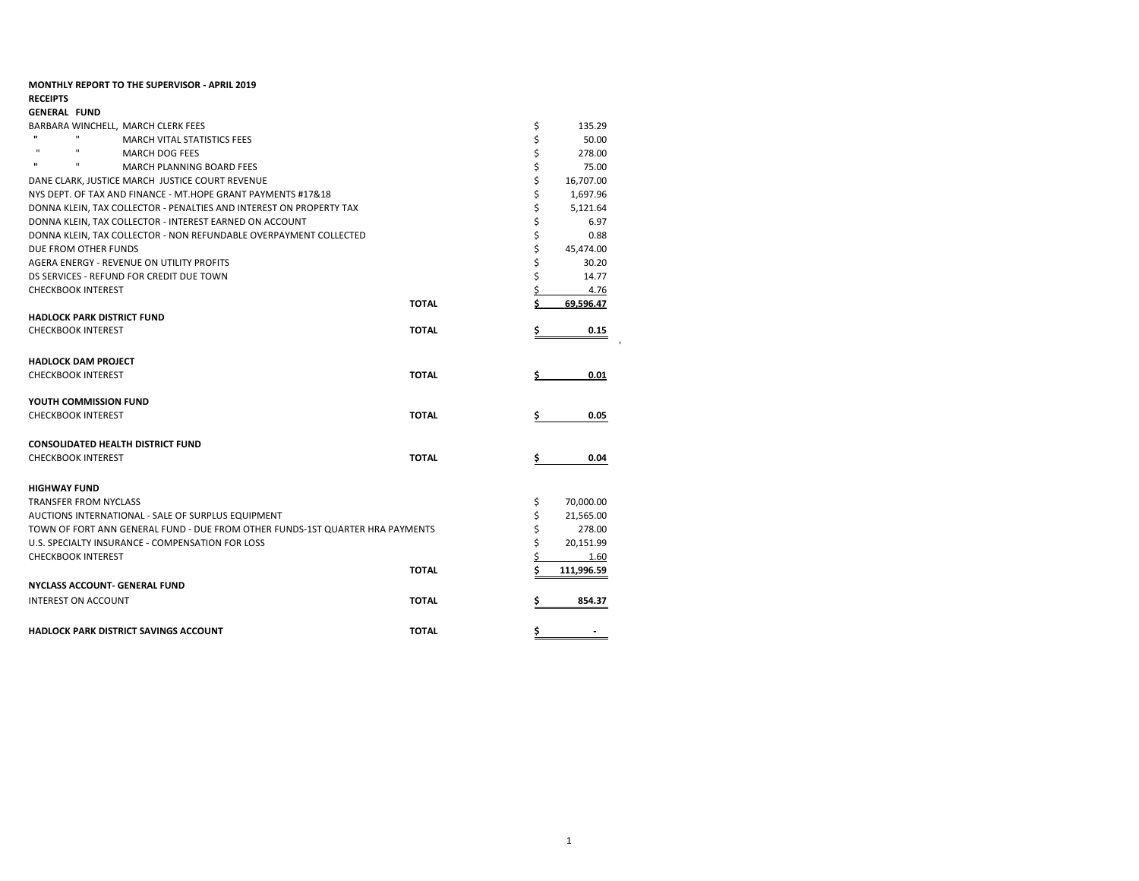| <b>MONTHLY REPORT TO THE SUPERVISOR - APRIL 2019</b>                          |              |    |            |
|-------------------------------------------------------------------------------|--------------|----|------------|
| <b>RECEIPTS</b>                                                               |              |    |            |
| <b>GENERAL FUND</b>                                                           |              |    |            |
| BARBARA WINCHELL, MARCH CLERK FEES                                            |              | \$ | 135.29     |
| п<br><b>MARCH VITAL STATISTICS FEES</b>                                       |              | \$ | 50.00      |
| $\mathbf{u}$<br>$\mathbf{H}$<br><b>MARCH DOG FEES</b>                         |              | \$ | 278.00     |
| $\mathbf{u}$<br><b>MARCH PLANNING BOARD FEES</b>                              |              | \$ | 75.00      |
| DANE CLARK. JUSTICE MARCH JUSTICE COURT REVENUE                               |              | \$ | 16,707.00  |
| NYS DEPT. OF TAX AND FINANCE - MT.HOPE GRANT PAYMENTS #17&18                  |              | \$ | 1,697.96   |
| DONNA KLEIN, TAX COLLECTOR - PENALTIES AND INTEREST ON PROPERTY TAX           |              | \$ | 5,121.64   |
| DONNA KLEIN, TAX COLLECTOR - INTEREST EARNED ON ACCOUNT                       |              | \$ | 6.97       |
| DONNA KLEIN, TAX COLLECTOR - NON REFUNDABLE OVERPAYMENT COLLECTED             |              | \$ | 0.88       |
| DUE FROM OTHER FUNDS                                                          |              | \$ | 45,474.00  |
| AGERA ENERGY - REVENUE ON UTILITY PROFITS                                     |              | \$ | 30.20      |
| DS SERVICES - REFUND FOR CREDIT DUE TOWN                                      |              | \$ | 14.77      |
| <b>CHECKBOOK INTEREST</b>                                                     |              | \$ | 4.76       |
|                                                                               | <b>TOTAL</b> | Ś  | 69.596.47  |
| <b>HADLOCK PARK DISTRICT FUND</b>                                             |              |    |            |
| <b>CHECKBOOK INTEREST</b>                                                     | <b>TOTAL</b> | \$ | 0.15       |
|                                                                               |              |    |            |
| <b>HADLOCK DAM PROJECT</b>                                                    |              |    |            |
| <b>CHECKBOOK INTEREST</b>                                                     | <b>TOTAL</b> |    | 0.01       |
|                                                                               |              |    |            |
| YOUTH COMMISSION FUND                                                         |              |    |            |
| <b>CHECKBOOK INTEREST</b>                                                     | <b>TOTAL</b> | \$ | 0.05       |
|                                                                               |              |    |            |
| <b>CONSOLIDATED HEALTH DISTRICT FUND</b>                                      |              |    |            |
| <b>CHECKBOOK INTEREST</b>                                                     | <b>TOTAL</b> | \$ | 0.04       |
|                                                                               |              |    |            |
| <b>HIGHWAY FUND</b>                                                           |              |    |            |
| <b>TRANSFER FROM NYCLASS</b>                                                  |              | \$ | 70,000.00  |
| AUCTIONS INTERNATIONAL - SALE OF SURPLUS EQUIPMENT                            |              | \$ | 21,565.00  |
| TOWN OF FORT ANN GENERAL FUND - DUE FROM OTHER FUNDS-1ST QUARTER HRA PAYMENTS |              | \$ | 278.00     |
| U.S. SPECIALTY INSURANCE - COMPENSATION FOR LOSS                              |              | \$ | 20,151.99  |
| <b>CHECKBOOK INTEREST</b>                                                     |              | \$ | 1.60       |
|                                                                               | <b>TOTAL</b> | Ś  | 111,996.59 |
| <b>NYCLASS ACCOUNT- GENERAL FUND</b>                                          |              |    |            |
|                                                                               |              |    |            |
| INTEREST ON ACCOUNT                                                           | <b>TOTAL</b> | \$ | 854.37     |
|                                                                               |              |    |            |
| <b>HADLOCK PARK DISTRICT SAVINGS ACCOUNT</b>                                  | <b>TOTAL</b> | \$ |            |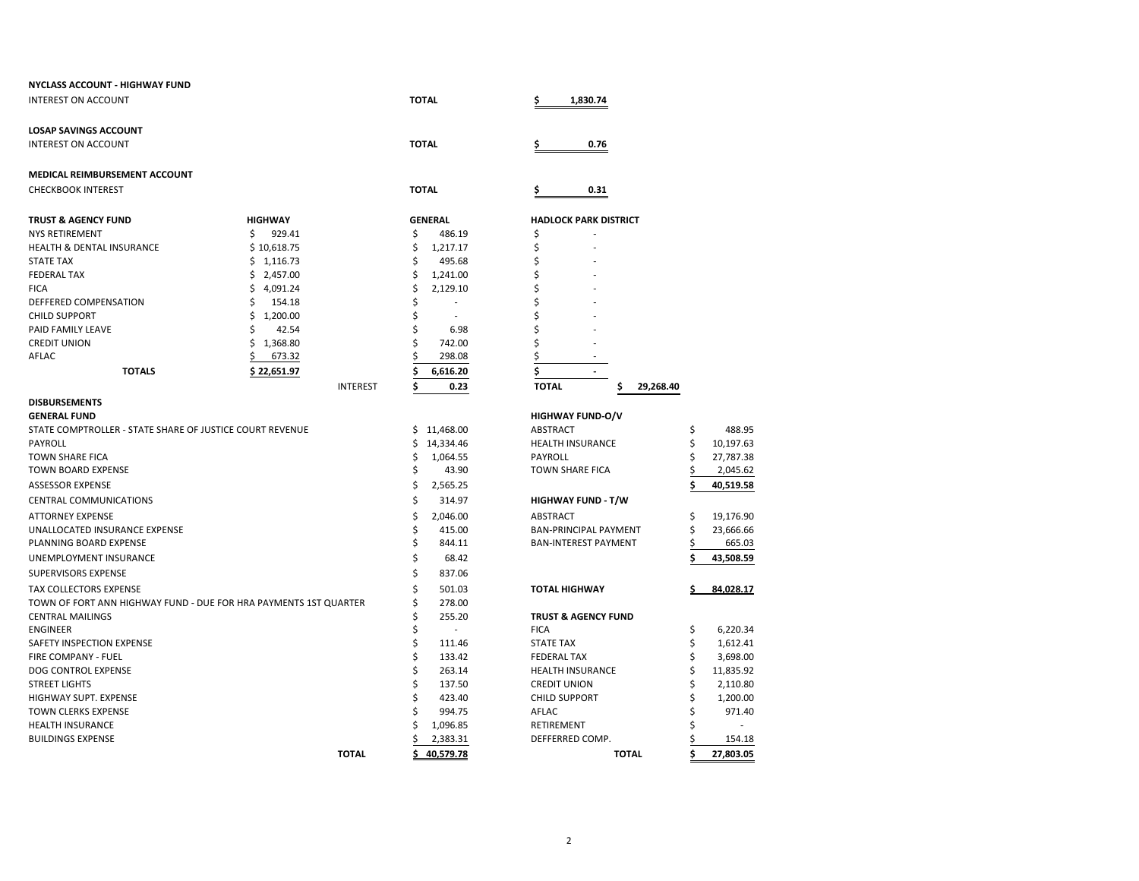| <b>NYCLASS ACCOUNT - HIGHWAY FUND</b>                            |                 |                               |                                 |    |           |
|------------------------------------------------------------------|-----------------|-------------------------------|---------------------------------|----|-----------|
| <b>INTEREST ON ACCOUNT</b>                                       |                 | <b>TOTAL</b>                  | 1,830.74<br>\$                  |    |           |
| <b>LOSAP SAVINGS ACCOUNT</b>                                     |                 |                               |                                 |    |           |
| <b>INTEREST ON ACCOUNT</b>                                       |                 | <b>TOTAL</b>                  | \$<br>0.76                      |    |           |
| <b>MEDICAL REIMBURSEMENT ACCOUNT</b>                             |                 |                               |                                 |    |           |
| <b>CHECKBOOK INTEREST</b>                                        |                 | <b>TOTAL</b>                  | 0.31<br>Ş                       |    |           |
| <b>TRUST &amp; AGENCY FUND</b>                                   | <b>HIGHWAY</b>  | <b>GENERAL</b>                | <b>HADLOCK PARK DISTRICT</b>    |    |           |
| <b>NYS RETIREMENT</b>                                            | \$<br>929.41    | \$<br>486.19                  | \$                              |    |           |
| <b>HEALTH &amp; DENTAL INSURANCE</b>                             | \$10,618.75     | Ś<br>1,217.17                 | \$                              |    |           |
| <b>STATE TAX</b>                                                 | \$1,116.73      | Ś<br>495.68                   |                                 |    |           |
| <b>FEDERAL TAX</b>                                               | \$2,457.00      | Ś<br>1,241.00                 |                                 |    |           |
| <b>FICA</b>                                                      | \$<br>4,091.24  | \$<br>2,129.10                |                                 |    |           |
| DEFFERED COMPENSATION                                            | \$<br>154.18    | \$                            |                                 |    |           |
| <b>CHILD SUPPORT</b>                                             | \$<br>1,200.00  | \$                            |                                 |    |           |
| PAID FAMILY LEAVE                                                | Ś<br>42.54      | Ś<br>6.98                     |                                 |    |           |
| <b>CREDIT UNION</b>                                              | \$<br>1,368.80  | 742.00                        |                                 |    |           |
| AFLAC                                                            | 673.32<br>\$    | 298.08                        |                                 |    |           |
| <b>TOTALS</b>                                                    | \$22,651.97     | 6,616.20                      | \$                              |    |           |
|                                                                  | <b>INTEREST</b> | Ś<br>0.23                     | <b>TOTAL</b><br>\$<br>29,268.40 |    |           |
| <b>DISBURSEMENTS</b>                                             |                 |                               |                                 |    |           |
| <b>GENERAL FUND</b>                                              |                 |                               | <b>HIGHWAY FUND-O/V</b>         |    |           |
| STATE COMPTROLLER - STATE SHARE OF JUSTICE COURT REVENUE         |                 | 11,468.00<br>S.               | ABSTRACT                        | \$ | 488.95    |
| PAYROLL                                                          |                 | 14,334.46<br>S                | <b>HEALTH INSURANCE</b>         |    | 10,197.63 |
| <b>TOWN SHARE FICA</b>                                           |                 | 1,064.55<br>Ś                 | <b>PAYROLL</b>                  |    | 27,787.38 |
| <b>TOWN BOARD EXPENSE</b>                                        |                 | Ś<br>43.90                    | TOWN SHARE FICA                 |    | 2,045.62  |
| ASSESSOR EXPENSE                                                 |                 | Ś<br>2,565.25                 |                                 |    | 40,519.58 |
| <b>CENTRAL COMMUNICATIONS</b>                                    |                 | Ś<br>314.97                   | <b>HIGHWAY FUND - T/W</b>       |    |           |
| <b>ATTORNEY EXPENSE</b>                                          |                 | \$<br>2,046.00                | <b>ABSTRACT</b>                 | \$ | 19,176.90 |
| UNALLOCATED INSURANCE EXPENSE                                    |                 | Ś<br>415.00                   | BAN-PRINCIPAL PAYMENT           | Ś  | 23,666.66 |
| PLANNING BOARD EXPENSE                                           |                 | \$<br>844.11                  | <b>BAN-INTEREST PAYMENT</b>     | \$ | 665.03    |
| UNEMPLOYMENT INSURANCE                                           |                 | \$<br>68.42                   |                                 |    | 43,508.59 |
| SUPERVISORS EXPENSE                                              |                 | Ś<br>837.06                   |                                 |    |           |
| TAX COLLECTORS EXPENSE                                           |                 | \$<br>501.03                  | <b>TOTAL HIGHWAY</b>            |    | 84,028.17 |
| TOWN OF FORT ANN HIGHWAY FUND - DUE FOR HRA PAYMENTS 1ST QUARTER |                 | Ś<br>278.00                   |                                 |    |           |
| <b>CENTRAL MAILINGS</b>                                          |                 | \$<br>255.20                  | <b>TRUST &amp; AGENCY FUND</b>  |    |           |
| <b>ENGINEER</b>                                                  |                 | Ś<br>$\overline{\phantom{a}}$ | <b>FICA</b>                     | \$ | 6,220.34  |
| SAFETY INSPECTION EXPENSE                                        |                 | \$<br>111.46                  | <b>STATE TAX</b>                |    | 1,612.41  |
| FIRE COMPANY - FUEL                                              |                 | \$<br>133.42                  | <b>FEDERAL TAX</b>              |    | 3,698.00  |
| DOG CONTROL EXPENSE                                              |                 | Ś<br>263.14                   | <b>HEALTH INSURANCE</b>         |    | 11,835.92 |
| <b>STREET LIGHTS</b>                                             |                 | Ś<br>137.50                   | <b>CREDIT UNION</b>             |    | 2,110.80  |
| HIGHWAY SUPT. EXPENSE                                            |                 | 423.40                        | <b>CHILD SUPPORT</b>            |    | 1,200.00  |
| TOWN CLERKS EXPENSE                                              |                 | 994.75                        | AFLAC                           |    | 971.40    |
| <b>HEALTH INSURANCE</b>                                          |                 | 1,096.85                      | RETIREMENT                      |    |           |
| <b>BUILDINGS EXPENSE</b>                                         |                 | 2,383.31                      | DEFFERRED COMP.                 |    | 154.18    |
|                                                                  | <b>TOTAL</b>    | 40.579.78                     | <b>TOTAL</b>                    | Ś  | 27.803.05 |

**TOTAL \$ 40,579.78 TOTAL \$ 27,803.05**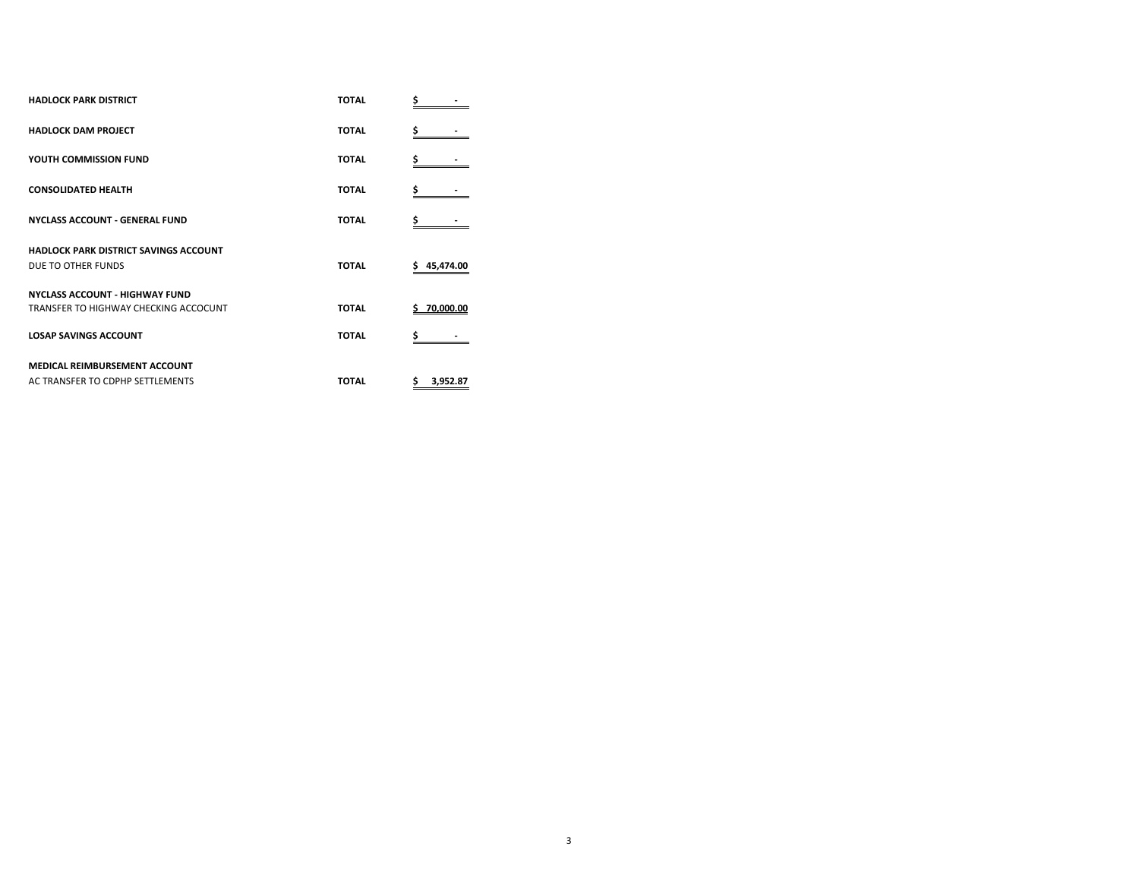| <b>HADLOCK PARK DISTRICT</b>                 | <b>TOTAL</b> | \$              |
|----------------------------------------------|--------------|-----------------|
| <b>HADLOCK DAM PROJECT</b>                   | <b>TOTAL</b> | \$              |
| YOUTH COMMISSION FUND                        | <b>TOTAL</b> | \$              |
| <b>CONSOLIDATED HEALTH</b>                   | <b>TOTAL</b> | \$              |
| <b>NYCLASS ACCOUNT - GENERAL FUND</b>        | <b>TOTAL</b> |                 |
| <b>HADLOCK PARK DISTRICT SAVINGS ACCOUNT</b> |              |                 |
| DUE TO OTHER FUNDS                           | <b>TOTAL</b> | 45,474.00<br>\$ |
| <b>NYCLASS ACCOUNT - HIGHWAY FUND</b>        |              |                 |
| TRANSFER TO HIGHWAY CHECKING ACCOCUNT        | <b>TOTAL</b> | \$70,000.00     |
| <b>LOSAP SAVINGS ACCOUNT</b>                 | <b>TOTAL</b> |                 |
| <b>MEDICAL REIMBURSEMENT ACCOUNT</b>         |              |                 |
| AC TRANSFER TO CDPHP SETTLEMENTS             | <b>TOTAL</b> | \$<br>3,952.87  |